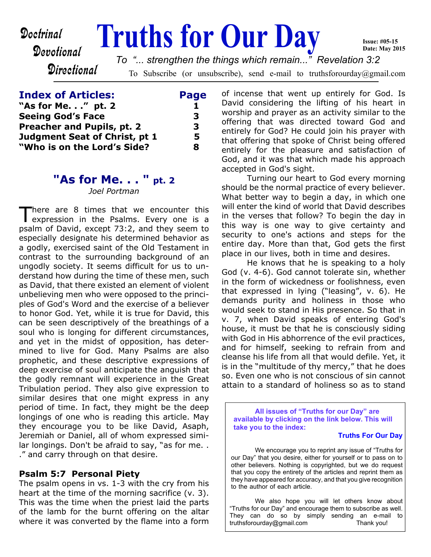Devotional

**Directional** 

# **Doctrinal Fruths for Our Day**

To Subscribe (or unsubscribe), send e-mail to truthsforourday@gmail.com *To "... strengthen the things which remain..." Revelation 3:2*

# **Index of Articles: Page "As for Me. . ." pt. 2 1 Seeing God's Face 3 Preacher and Pupils, pt. 2** 3 **Judgment Seat of Christ, pt 1 5 "Who is on the Lord's Side? 8**

# **"As for Me. . . " pt. 2**

*Joel Portman*

There are 8 times that we encounter this<br>expression in the Psalms. Every one is a here are 8 times that we encounter this psalm of David, except 73:2, and they seem to especially designate his determined behavior as a godly, exercised saint of the Old Testament in contrast to the surrounding background of an ungodly society. It seems difficult for us to understand how during the time of these men, such as David, that there existed an element of violent unbelieving men who were opposed to the principles of God's Word and the exercise of a believer to honor God. Yet, while it is true for David, this can be seen descriptively of the breathings of a soul who is longing for different circumstances, and yet in the midst of opposition, has determined to live for God. Many Psalms are also prophetic, and these descriptive expressions of deep exercise of soul anticipate the anguish that the godly remnant will experience in the Great Tribulation period. They also give expression to similar desires that one might express in any period of time. In fact, they might be the deep longings of one who is reading this article. May they encourage you to be like David, Asaph, Jeremiah or Daniel, all of whom expressed similar longings. Don't be afraid to say, "as for me. . ." and carry through on that desire.

## **Psalm 5:7 Personal Piety**

The psalm opens in vs. 1-3 with the cry from his heart at the time of the morning sacrifice (v. 3). This was the time when the priest laid the parts of the lamb for the burnt offering on the altar where it was converted by the flame into a form of incense that went up entirely for God. Is David considering the lifting of his heart in worship and prayer as an activity similar to the offering that was directed toward God and entirely for God? He could join his prayer with that offering that spoke of Christ being offered entirely for the pleasure and satisfaction of God, and it was that which made his approach accepted in God's sight.

**Issue: #05-15 Date: May 2015**

 Turning our heart to God every morning should be the normal practice of every believer. What better way to begin a day, in which one will enter the kind of world that David describes in the verses that follow? To begin the day in this way is one way to give certainty and security to one's actions and steps for the entire day. More than that, God gets the first place in our lives, both in time and desires.

 He knows that he is speaking to a holy God (v. 4-6). God cannot tolerate sin, whether in the form of wickedness or foolishness, even that expressed in lying ("leasing", v. 6). He demands purity and holiness in those who would seek to stand in His presence. So that in v. 7, when David speaks of entering God's house, it must be that he is consciously siding with God in His abhorrence of the evil practices, and for himself, seeking to refrain from and cleanse his life from all that would defile. Yet, it is in the "multitude of thy mercy," that he does so. Even one who is not conscious of sin cannot attain to a standard of holiness so as to stand

**All issues of "Truths for our Day" are available by clicking on the link below. This will take you to the index:**

#### **Truths For Our Day**

 We encourage you to reprint any issue of "Truths for our Day" that you desire, either for yourself or to pass on to other believers. Nothing is copyrighted, but we do request that you copy the entirety of the articles and reprint them as they have appeared for accuracy, and that you give recognition to the author of each article.

 We also hope you will let others know about "Truths for our Day" and encourage them to subscribe as well. They can do so by simply sending an e-mail to truthsforourday@gmail.com truthsforourday@gmail.com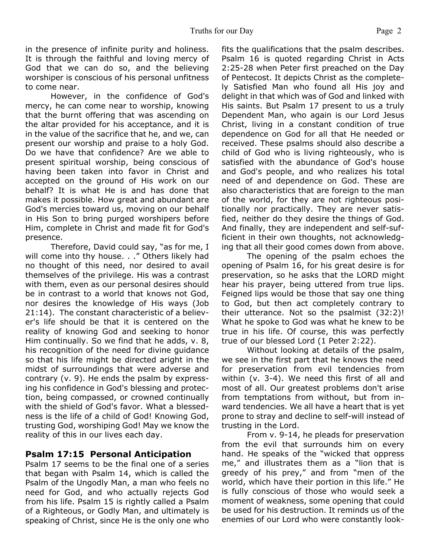in the presence of infinite purity and holiness. It is through the faithful and loving mercy of God that we can do so, and the believing worshiper is conscious of his personal unfitness to come near.

 However, in the confidence of God's mercy, he can come near to worship, knowing that the burnt offering that was ascending on the altar provided for his acceptance, and it is in the value of the sacrifice that he, and we, can present our worship and praise to a holy God. Do we have that confidence? Are we able to present spiritual worship, being conscious of having been taken into favor in Christ and accepted on the ground of His work on our behalf? It is what He is and has done that makes it possible. How great and abundant are God's mercies toward us, moving on our behalf in His Son to bring purged worshipers before Him, complete in Christ and made fit for God's presence.

 Therefore, David could say, "as for me, I will come into thy house. . ." Others likely had no thought of this need, nor desired to avail themselves of the privilege. His was a contrast with them, even as our personal desires should be in contrast to a world that knows not God, nor desires the knowledge of His ways (Job 21:14). The constant characteristic of a believer's life should be that it is centered on the reality of knowing God and seeking to honor Him continually. So we find that he adds, v. 8, his recognition of the need for divine guidance so that his life might be directed aright in the midst of surroundings that were adverse and contrary (v. 9). He ends the psalm by expressing his confidence in God's blessing and protection, being compassed, or crowned continually with the shield of God's favor. What a blessedness is the life of a child of God! Knowing God, trusting God, worshiping God! May we know the reality of this in our lives each day.

## **Psalm 17:15 Personal Anticipation**

Psalm 17 seems to be the final one of a series that began with Psalm 14, which is called the Psalm of the Ungodly Man, a man who feels no need for God, and who actually rejects God from his life. Psalm 15 is rightly called a Psalm of a Righteous, or Godly Man, and ultimately is speaking of Christ, since He is the only one who fits the qualifications that the psalm describes. Psalm 16 is quoted regarding Christ in Acts 2:25-28 when Peter first preached on the Day of Pentecost. It depicts Christ as the completely Satisfied Man who found all His joy and delight in that which was of God and linked with His saints. But Psalm 17 present to us a truly Dependent Man, who again is our Lord Jesus Christ, living in a constant condition of true dependence on God for all that He needed or received. These psalms should also describe a child of God who is living righteously, who is satisfied with the abundance of God's house and God's people, and who realizes his total need of and dependence on God. These are also characteristics that are foreign to the man of the world, for they are not righteous positionally nor practically. They are never satisfied, neither do they desire the things of God. And finally, they are independent and self-sufficient in their own thoughts, not acknowledging that all their good comes down from above.

 The opening of the psalm echoes the opening of Psalm 16, for his great desire is for preservation, so he asks that the LORD might hear his prayer, being uttered from true lips. Feigned lips would be those that say one thing to God, but then act completely contrary to their utterance. Not so the psalmist (32:2)! What he spoke to God was what he knew to be true in his life. Of course, this was perfectly true of our blessed Lord (1 Peter 2:22).

 Without looking at details of the psalm, we see in the first part that he knows the need for preservation from evil tendencies from within (v. 3-4). We need this first of all and most of all. Our greatest problems don't arise from temptations from without, but from inward tendencies. We all have a heart that is yet prone to stray and decline to self-will instead of trusting in the Lord.

 From v. 9-14, he pleads for preservation from the evil that surrounds him on every hand. He speaks of the "wicked that oppress me," and illustrates them as a "lion that is greedy of his prey," and from "men of the world, which have their portion in this life." He is fully conscious of those who would seek a moment of weakness, some opening that could be used for his destruction. It reminds us of the enemies of our Lord who were constantly look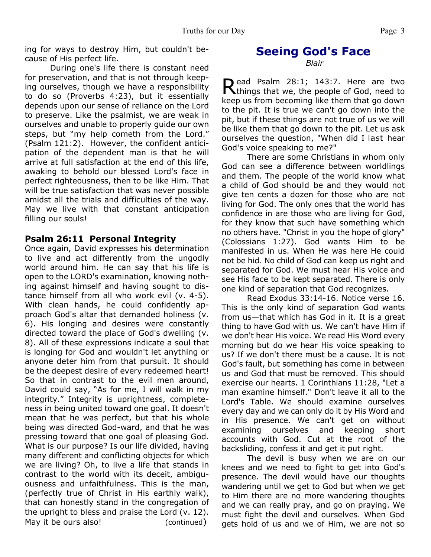ing for ways to destroy Him, but couldn't because of His perfect life.

 During one's life there is constant need for preservation, and that is not through keeping ourselves, though we have a responsibility to do so (Proverbs 4:23), but it essentially depends upon our sense of reliance on the Lord to preserve. Like the psalmist, we are weak in ourselves and unable to properly guide our own steps, but "my help cometh from the Lord." (Psalm 121:2). However, the confident anticipation of the dependent man is that he will arrive at full satisfaction at the end of this life, awaking to behold our blessed Lord's face in perfect righteousness, then to be like Him. That will be true satisfaction that was never possible amidst all the trials and difficulties of the way. May we live with that constant anticipation filling our souls!

# **Psalm 26:11 Personal Integrity**

Once again, David expresses his determination to live and act differently from the ungodly world around him. He can say that his life is open to the LORD's examination, knowing nothing against himself and having sought to distance himself from all who work evil (v. 4-5). With clean hands, he could confidently approach God's altar that demanded holiness (v. 6). His longing and desires were constantly directed toward the place of God's dwelling (v. 8). All of these expressions indicate a soul that is longing for God and wouldn't let anything or anyone deter him from that pursuit. It should be the deepest desire of every redeemed heart! So that in contrast to the evil men around, David could say, "As for me, I will walk in my integrity." Integrity is uprightness, completeness in being united toward one goal. It doesn't mean that he was perfect, but that his whole being was directed God-ward, and that he was pressing toward that one goal of pleasing God. What is our purpose? Is our life divided, having many different and conflicting objects for which we are living? Oh, to live a life that stands in contrast to the world with its deceit, ambiguousness and unfaithfulness. This is the man, (perfectly true of Christ in His earthly walk), that can honestly stand in the congregation of the upright to bless and praise the Lord (v. 12). May it be ours also! (continued)

# **Seeing God's Face**

*Blair*

Read Psalm 28:1; 143:7. Here are two<br>Rthings that we, the people of God, need to ead Psalm 28:1; 143:7. Here are two keep us from becoming like them that go down to the pit. It is true we can't go down into the pit, but if these things are not true of us we will be like them that go down to the pit. Let us ask ourselves the question, "When did I last hear God's voice speaking to me?"

 There are some Christians in whom only God can see a difference between worldlings and them. The people of the world know what a child of God should be and they would not give ten cents a dozen for those who are not living for God. The only ones that the world has confidence in are those who are living for God, for they know that such have something which no others have. "Christ in you the hope of glory" (Colossians 1:27). God wants Him to be manifested in us. When He was here He could not be hid. No child of God can keep us right and separated for God. We must hear His voice and see His face to be kept separated. There is only one kind of separation that God recognizes.

 Read Exodus 33:14-16. Notice verse 16. This is the only kind of separation God wants from us—that which has God in it. It is a great thing to have God with us. We can't have Him if we don't hear His voice. We read His Word every morning but do we hear His voice speaking to us? If we don't there must be a cause. It is not God's fault, but something has come in between us and God that must be removed. This should exercise our hearts. 1 Corinthians 11:28, "Let a man examine himself." Don't leave it all to the Lord's Table. We should examine ourselves every day and we can only do it by His Word and in His presence. We can't get on without examining ourselves and keeping short accounts with God. Cut at the root of the backsliding, confess it and get it put right.

 The devil is busy when we are on our knees and we need to fight to get into God's presence. The devil would have our thoughts wandering until we get to God but when we get to Him there are no more wandering thoughts and we can really pray, and go on praying. We must fight the devil and ourselves. When God gets hold of us and we of Him, we are not so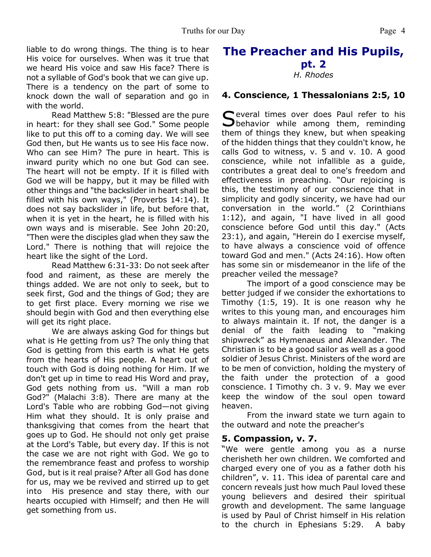liable to do wrong things. The thing is to hear His voice for ourselves. When was it true that we heard His voice and saw His face? There is not a syllable of God's book that we can give up. There is a tendency on the part of some to knock down the wall of separation and go in with the world.

 Read Matthew 5:8: "Blessed are the pure in heart: for they shall see God." Some people like to put this off to a coming day. We will see God then, but He wants us to see His face now. Who can see Him? The pure in heart. This is inward purity which no one but God can see. The heart will not be empty. If it is filled with God we will be happy, but it may be filled with other things and "the backslider in heart shall be filled with his own ways," (Proverbs 14:14). It does not say backslider in life, but before that, when it is yet in the heart, he is filled with his own ways and is miserable. See John 20:20, "Then were the disciples glad when they saw the Lord." There is nothing that will rejoice the heart like the sight of the Lord.

 Read Matthew 6:31-33: Do not seek after food and raiment, as these are merely the things added. We are not only to seek, but to seek first, God and the things of God; they are to get first place. Every morning we rise we should begin with God and then everything else will get its right place.

 We are always asking God for things but what is He getting from us? The only thing that God is getting from this earth is what He gets from the hearts of His people. A heart out of touch with God is doing nothing for Him. If we don't get up in time to read His Word and pray, God gets nothing from us. "Will a man rob God?" (Malachi 3:8). There are many at the Lord's Table who are robbing God—not giving Him what they should. It is only praise and thanksgiving that comes from the heart that goes up to God. He should not only get praise at the Lord's Table, but every day. If this is not the case we are not right with God. We go to the remembrance feast and profess to worship God, but is it real praise? After all God has done for us, may we be revived and stirred up to get into His presence and stay there, with our hearts occupied with Himself; and then He will get something from us.

# **The Preacher and His Pupils, pt. 2** *H. Rhodes*

# **4. Conscience, 1 Thessalonians 2:5, 10**

Several times over does Paul refer to his<br>Sbehavior while among them, reminding  $\bigcup$  behavior while among them, reminding them of things they knew, but when speaking of the hidden things that they couldn't know, he calls God to witness, v. 5 and v. 10. A good conscience, while not infallible as a guide, contributes a great deal to one's freedom and effectiveness in preaching. "Our rejoicing is this, the testimony of our conscience that in simplicity and godly sincerity, we have had our conversation in the world." (2 Corinthians 1:12), and again, "I have lived in all good conscience before God until this day." (Acts 23:1), and again, "Herein do I exercise myself, to have always a conscience void of offence toward God and men." (Acts 24:16). How often has some sin or misdemeanor in the life of the preacher veiled the message?

The import of a good conscience may be better judged if we consider the exhortations to Timothy (1:5, 19). It is one reason why he writes to this young man, and encourages him to always maintain it. If not, the danger is a denial of the faith leading to "making shipwreck" as Hymenaeus and Alexander. The Christian is to be a good sailor as well as a good soldier of Jesus Christ. Ministers of the word are to be men of conviction, holding the mystery of the faith under the protection of a good conscience. I Timothy ch. 3 v. 9. May we ever keep the window of the soul open toward heaven.

From the inward state we turn again to the outward and note the preacher's

#### **5. Compassion, v. 7.**

"We were gentle among you as a nurse cherisheth her own children. We comforted and charged every one of you as a father doth his children", v. 11. This idea of parental care and concern reveals just how much Paul loved these young believers and desired their spiritual growth and development. The same language is used by Paul of Christ himself in His relation to the church in Ephesians 5:29. A baby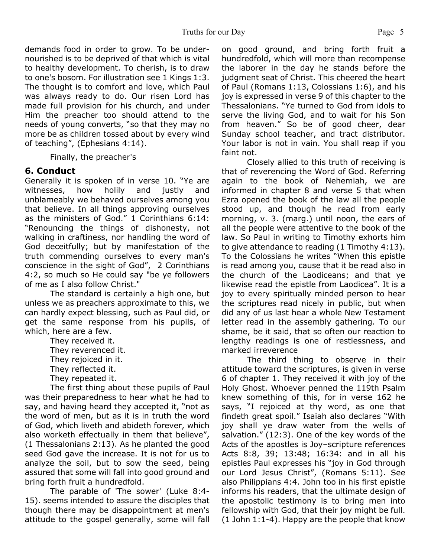demands food in order to grow. To be undernourished is to be deprived of that which is vital to healthy development. To cherish, is to draw to one's bosom. For illustration see 1 Kings 1:3. The thought is to comfort and love, which Paul was always ready to do. Our risen Lord has made full provision for his church, and under Him the preacher too should attend to the needs of young converts, "so that they may no more be as children tossed about by every wind of teaching", (Ephesians 4:14).

Finally, the preacher's

# **6. Conduct**

Generally it is spoken of in verse 10. "Ye are witnesses, how holily and justly and unblameably we behaved ourselves among you that believe. In all things approving ourselves as the ministers of God." 1 Corinthians 6:14: "Renouncing the things of dishonesty, not walking in craftiness, nor handling the word of God deceitfully; but by manifestation of the truth commending ourselves to every man's conscience in the sight of God", 2 Corinthians 4:2, so much so He could say "be ye followers of me as I also follow Christ."

The standard is certainly a high one, but unless we as preachers approximate to this, we can hardly expect blessing, such as Paul did, or get the same response from his pupils, of which, here are a few.

They received it. They reverenced it. They rejoiced in it. They reflected it. They repeated it.

The first thing about these pupils of Paul was their preparedness to hear what he had to say, and having heard they accepted it, "not as the word of men, but as it is in truth the word of God, which liveth and abideth forever, which also worketh effectually in them that believe", (1 Thessalonians 2:13). As he planted the good seed God gave the increase. It is not for us to analyze the soil, but to sow the seed, being assured that some will fall into good ground and bring forth fruit a hundredfold.

The parable of 'The sower' (Luke 8:4- 15). seems intended to assure the disciples that though there may be disappointment at men's attitude to the gospel generally, some will fall on good ground, and bring forth fruit a hundredfold, which will more than recompense the laborer in the day he stands before the judgment seat of Christ. This cheered the heart of Paul (Romans 1:13, Colossians 1:6), and his joy is expressed in verse 9 of this chapter to the Thessalonians. "Ye turned to God from idols to serve the living God, and to wait for his Son from heaven." So be of good cheer, dear Sunday school teacher, and tract distributor. Your labor is not in vain. You shall reap if you faint not.

Closely allied to this truth of receiving is that of reverencing the Word of God. Referring again to the book of Nehemiah, we are informed in chapter 8 and verse 5 that when Ezra opened the book of the law all the people stood up, and though he read from early morning, v. 3. (marg.) until noon, the ears of all the people were attentive to the book of the law. So Paul in writing to Timothy exhorts him to give attendance to reading (1 Timothy 4:13). To the Colossians he writes "When this epistle is read among you, cause that it be read also in the church of the Laodiceans; and that ye likewise read the epistle from Laodicea". It is a joy to every spiritually minded person to hear the scriptures read nicely in public, but when did any of us last hear a whole New Testament letter read in the assembly gathering. To our shame, be it said, that so often our reaction to lengthy readings is one of restlessness, and marked irreverence

The third thing to observe in their attitude toward the scriptures, is given in verse 6 of chapter 1. They received it with joy of the Holy Ghost. Whoever penned the 119th Psalm knew something of this, for in verse 162 he says, "I rejoiced at thy word, as one that findeth great spoil." Isaiah also declares "With joy shall ye draw water from the wells of salvation." (12:3). One of the key words of the Acts of the apostles is Joy–scripture references Acts 8:8, 39; 13:48; 16:34: and in all his epistles Paul expresses his "joy in God through our Lord Jesus Christ", (Romans 5:11). See also Philippians 4:4. John too in his first epistle informs his readers, that the ultimate design of the apostolic testimony is to bring men into fellowship with God, that their joy might be full. (1 John 1:1-4). Happy are the people that know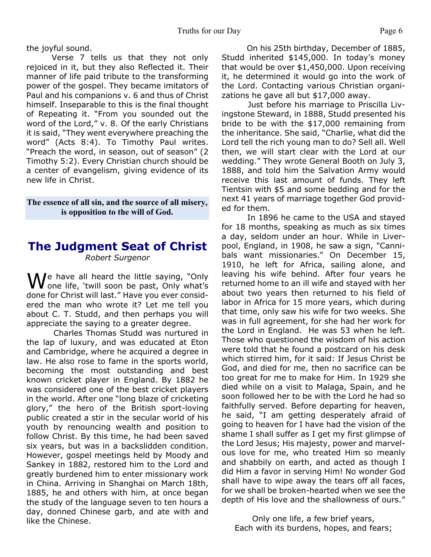the joyful sound.

Verse 7 tells us that they not only rejoiced in it, but they also Reflected it. Their manner of life paid tribute to the transforming power of the gospel. They became imitators of Paul and his companions v. 6 and thus of Christ himself. Inseparable to this is the final thought of Repeating it. "From you sounded out the word of the Lord," v. 8. Of the early Christians it is said, "They went everywhere preaching the word" (Acts 8:4). To Timothy Paul writes. "Preach the word, in season, out of season" (2 Timothy 5:2). Every Christian church should be a center of evangelism, giving evidence of its new life in Christ.

#### **The essence of all sin, and the source of all misery, is opposition to the will of God.**

# **The Judgment Seat of Christ** *Robert Surgenor*

We have all heard the little saying, "Only one life, 'twill soon be past, Only what's done for Christ will last." Have you ever considered the man who wrote it? Let me tell you about C. T. Studd, and then perhaps you will appreciate the saying to a greater degree.

 Charles Thomas Studd was nurtured in the lap of luxury, and was educated at Eton and Cambridge, where he acquired a degree in law. He also rose to fame in the sports world, becoming the most outstanding and best known cricket player in England. By 1882 he was considered one of the best cricket players in the world. After one "long blaze of cricketing glory," the hero of the British sport-loving public created a stir in the secular world of his youth by renouncing wealth and position to follow Christ. By this time, he had been saved six years, but was in a backslidden condition. However, gospel meetings held by Moody and Sankey in 1882, restored him to the Lord and greatly burdened him to enter missionary work in China. Arriving in Shanghai on March 18th, 1885, he and others with him, at once began the study of the language seven to ten hours a day, donned Chinese garb, and ate with and like the Chinese.

 On his 25th birthday, December of 1885, Studd inherited \$145,000. In today's money that would be over \$1,450,000. Upon receiving it, he determined it would go into the work of the Lord. Contacting various Christian organizations he gave all but \$17,000 away.

 Just before his marriage to Priscilla Livingstone Steward, in 1888, Studd presented his bride to be with the \$17,000 remaining from the inheritance. She said, "Charlie, what did the Lord tell the rich young man to do? Sell all. Well then, we will start clear with the Lord at our wedding." They wrote General Booth on July 3, 1888, and told him the Salvation Army would receive this last amount of funds. They left Tientsin with \$5 and some bedding and for the next 41 years of marriage together God provided for them.

In 1896 he came to the USA and stayed for 18 months, speaking as much as six times a day, seldom under an hour. While in Liverpool, England, in 1908, he saw a sign, "Cannibals want missionaries." On December 15, 1910, he left for Africa, sailing alone, and leaving his wife behind. After four years he returned home to an ill wife and stayed with her about two years then returned to his field of labor in Africa for 15 more years, which during that time, only saw his wife for two weeks. She was in full agreement, for she had her work for the Lord in England. He was 53 when he left. Those who questioned the wisdom of his action were told that he found a postcard on his desk which stirred him, for it said: If Jesus Christ be God, and died for me, then no sacrifice can be too great for me to make for Him. In 1929 she died while on a visit to Malaga, Spain, and he soon followed her to be with the Lord he had so faithfully served. Before departing for heaven, he said, "I am getting desperately afraid of going to heaven for I have had the vision of the shame I shall suffer as I get my first glimpse of the Lord Jesus; His majesty, power and marvelous love for me, who treated Him so meanly and shabbily on earth, and acted as though I did Him a favor in serving Him! No wonder God shall have to wipe away the tears off all faces, for we shall be broken-hearted when we see the depth of His love and the shallowness of ours."

Only one life, a few brief years, Each with its burdens, hopes, and fears;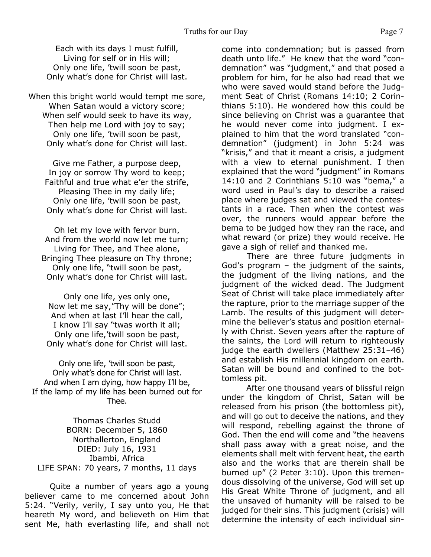Each with its days I must fulfill, Living for self or in His will; Only one life, 'twill soon be past, Only what's done for Christ will last.

When this bright world would tempt me sore, When Satan would a victory score; When self would seek to have its way, Then help me Lord with joy to say; Only one life, 'twill soon be past, Only what's done for Christ will last.

Give me Father, a purpose deep, In joy or sorrow Thy word to keep; Faithful and true what e'er the strife, Pleasing Thee in my daily life; Only one life, 'twill soon be past, Only what's done for Christ will last.

Oh let my love with fervor burn, And from the world now let me turn; Living for Thee, and Thee alone, Bringing Thee pleasure on Thy throne; Only one life, "twill soon be past, Only what's done for Christ will last.

Only one life, yes only one, Now let me say,"Thy will be done"; And when at last I'll hear the call, I know I'll say "twas worth it all; Only one life,'twill soon be past, Only what's done for Christ will last.

Only one life, 'twill soon be past, Only what's done for Christ will last. And when I am dying, how happy I'll be, If the lamp of my life has been burned out for Thee.

Thomas Charles Studd BORN: December 5, 1860 Northallerton, England DIED: July 16, 1931 Ibambi, Africa LIFE SPAN: 70 years, 7 months, 11 days

 Quite a number of years ago a young believer came to me concerned about John 5:24. "Verily, verily, I say unto you, He that heareth My word, and believeth on Him that sent Me, hath everlasting life, and shall not come into condemnation; but is passed from death unto life." He knew that the word "condemnation" was "judgment," and that posed a problem for him, for he also had read that we who were saved would stand before the Judgment Seat of Christ (Romans 14:10; 2 Corinthians 5:10). He wondered how this could be since believing on Christ was a guarantee that he would never come into judgment. I explained to him that the word translated "condemnation" (judgment) in John 5:24 was "krisis," and that it meant a crisis, a judgment with a view to eternal punishment. I then explained that the word "judgment" in Romans 14:10 and 2 Corinthians 5:10 was "bema," a word used in Paul's day to describe a raised place where judges sat and viewed the contestants in a race. Then when the contest was over, the runners would appear before the bema to be judged how they ran the race, and what reward (or prize) they would receive. He gave a sigh of relief and thanked me.

 There are three future judgments in God's program – the judgment of the saints, the judgment of the living nations, and the judgment of the wicked dead. The Judgment Seat of Christ will take place immediately after the rapture, prior to the marriage supper of the Lamb. The results of this judgment will determine the believer's status and position eternally with Christ. Seven years after the rapture of the saints, the Lord will return to righteously judge the earth dwellers (Matthew 25:31–46) and establish His millennial kingdom on earth. Satan will be bound and confined to the bottomless pit.

 After one thousand years of blissful reign under the kingdom of Christ, Satan will be released from his prison (the bottomless pit), and will go out to deceive the nations, and they will respond, rebelling against the throne of God. Then the end will come and "the heavens shall pass away with a great noise, and the elements shall melt with fervent heat, the earth also and the works that are therein shall be burned up" (2 Peter 3:10). Upon this tremendous dissolving of the universe, God will set up His Great White Throne of judgment, and all the unsaved of humanity will be raised to be judged for their sins. This judgment (crisis) will determine the intensity of each individual sin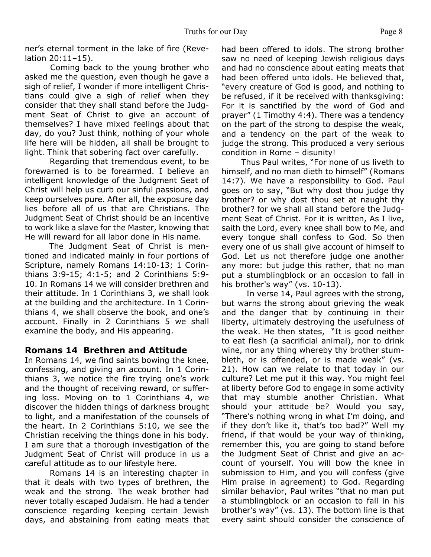ner's eternal torment in the lake of fire (Revelation 20:11–15).

 Coming back to the young brother who asked me the question, even though he gave a sigh of relief, I wonder if more intelligent Christians could give a sigh of relief when they consider that they shall stand before the Judgment Seat of Christ to give an account of themselves? I have mixed feelings about that day, do you? Just think, nothing of your whole life here will be hidden, all shall be brought to light. Think that sobering fact over carefully.

 Regarding that tremendous event, to be forewarned is to be forearmed. I believe an intelligent knowledge of the Judgment Seat of Christ will help us curb our sinful passions, and keep ourselves pure. After all, the exposure day lies before all of us that are Christians. The Judgment Seat of Christ should be an incentive to work like a slave for the Master, knowing that He will reward for all labor done in His name.

 The Judgment Seat of Christ is mentioned and indicated mainly in four portions of Scripture, namely Romans 14:10-13; 1 Corinthians 3:9-15; 4:1-5; and 2 Corinthians 5:9- 10. In Romans 14 we will consider brethren and their attitude. In 1 Corinthians 3, we shall look at the building and the architecture. In 1 Corinthians 4, we shall observe the book, and one's account. Finally in 2 Corinthians 5 we shall examine the body, and His appearing.

## **Romans 14 Brethren and Attitude**

In Romans 14, we find saints bowing the knee, confessing, and giving an account. In 1 Corinthians 3, we notice the fire trying one's work and the thought of receiving reward, or suffering loss. Moving on to 1 Corinthians 4, we discover the hidden things of darkness brought to light, and a manifestation of the counsels of the heart. In 2 Corinthians 5:10, we see the Christian receiving the things done in his body. I am sure that a thorough investigation of the Judgment Seat of Christ will produce in us a careful attitude as to our lifestyle here.

 Romans 14 is an interesting chapter in that it deals with two types of brethren, the weak and the strong. The weak brother had never totally escaped Judaism. He had a tender conscience regarding keeping certain Jewish days, and abstaining from eating meats that had been offered to idols. The strong brother saw no need of keeping Jewish religious days and had no conscience about eating meats that had been offered unto idols. He believed that, "every creature of God is good, and nothing to be refused, if it be received with thanksgiving: For it is sanctified by the word of God and prayer" (1 Timothy 4:4). There was a tendency on the part of the strong to despise the weak, and a tendency on the part of the weak to judge the strong. This produced a very serious condition in Rome – disunity!

 Thus Paul writes, "For none of us liveth to himself, and no man dieth to himself" (Romans 14:7). We have a responsibility to God. Paul goes on to say, "But why dost thou judge thy brother? or why dost thou set at naught thy brother? for we shall all stand before the Judgment Seat of Christ. For it is written, As I live, saith the Lord, every knee shall bow to Me, and every tongue shall confess to God. So then every one of us shall give account of himself to God. Let us not therefore judge one another any more: but judge this rather, that no man put a stumblingblock or an occasion to fall in his brother's way" (vs. 10-13).

 In verse 14, Paul agrees with the strong, but warns the strong about grieving the weak and the danger that by continuing in their liberty, ultimately destroying the usefulness of the weak. He then states, "It is good neither to eat flesh (a sacrificial animal), nor to drink wine, nor any thing whereby thy brother stumbleth, or is offended, or is made weak" (vs. 21). How can we relate to that today in our culture? Let me put it this way. You might feel at liberty before God to engage in some activity that may stumble another Christian. What should your attitude be? Would you say, "There's nothing wrong in what I'm doing, and if they don't like it, that's too bad?" Well my friend, if that would be your way of thinking, remember this, you are going to stand before the Judgment Seat of Christ and give an account of yourself. You will bow the knee in submission to Him, and you will confess (give Him praise in agreement) to God. Regarding similar behavior, Paul writes "that no man put a stumblingblock or an occasion to fall in his brother's way" (vs. 13). The bottom line is that every saint should consider the conscience of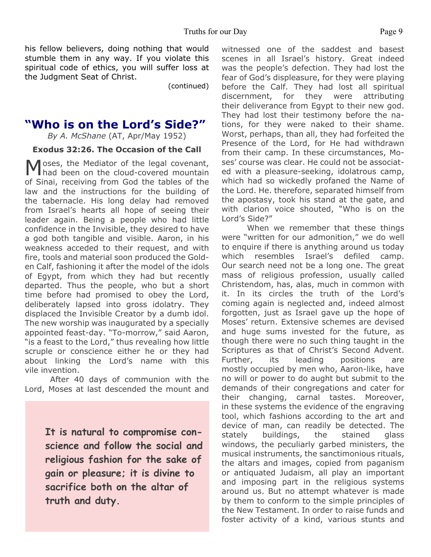his fellow believers, doing nothing that would stumble them in any way. If you violate this spiritual code of ethics, you will suffer loss at the Judgment Seat of Christ.

(continued)

# **"Who is on the Lord's Side?"**

*By A. McShane* (AT, Apr/May 1952)

#### **Exodus 32:26. The Occasion of the Call**

Moses, the Mediator of the legal covenant,<br>had been on the cloud-covered mountain oses, the Mediator of the legal covenant, of Sinai, receiving from God the tables of the law and the instructions for the building of the tabernacle. His long delay had removed from Israel's hearts all hope of seeing their leader again. Being a people who had little confidence in the Invisible, they desired to have a god both tangible and visible. Aaron, in his weakness acceded to their request, and with fire, tools and material soon produced the Golden Calf, fashioning it after the model of the idols of Egypt, from which they had but recently departed. Thus the people, who but a short time before had promised to obey the Lord, deliberately lapsed into gross idolatry. They displaced the Invisible Creator by a dumb idol. The new worship was inaugurated by a specially appointed feast-day. "To-morrow," said Aaron, "is a feast to the Lord," thus revealing how little scruple or conscience either he or they had about linking the Lord's name with this vile invention.

After 40 days of communion with the Lord, Moses at last descended the mount and

> **It is natural to compromise conscience and follow the social and religious fashion for the sake of gain or pleasure; it is divine to sacrifice both on the altar of truth and duty.**

witnessed one of the saddest and basest scenes in all Israel's history. Great indeed was the people's defection. They had lost the fear of God's displeasure, for they were playing before the Calf. They had lost all spiritual discernment, for they were attributing their deliverance from Egypt to their new god. They had lost their testimony before the nations, for they were naked to their shame. Worst, perhaps, than all, they had forfeited the Presence of the Lord, for He had withdrawn from their camp. In these circumstances, Moses' course was clear. He could not be associated with a pleasure-seeking, idolatrous camp, which had so wickedly profaned the Name of the Lord. He. therefore, separated himself from the apostasy, took his stand at the gate, and with clarion voice shouted, "Who is on the Lord's Side?"

When we remember that these things were "written for our admonition," we do well to enquire if there is anything around us today which resembles Israel's defiled camp. Our search need not be a long one. The great mass of religious profession, usually called Christendom, has, alas, much in common with it. In its circles the truth of the Lord's coming again is neglected and, indeed almost forgotten, just as Israel gave up the hope of Moses' return. Extensive schemes are devised and huge sums invested for the future, as though there were no such thing taught in the Scriptures as that of Christ's Second Advent. Further, its leading positions are mostly occupied by men who, Aaron-like, have no will or power to do aught but submit to the demands of their congregations and cater for their changing, carnal tastes. Moreover, in these systems the evidence of the engraving tool, which fashions according to the art and device of man, can readily be detected. The stately buildings, the stained glass windows, the peculiarly garbed ministers, the musical instruments, the sanctimonious rituals, the altars and images, copied from paganism or antiquated Judaism, all play an important and imposing part in the religious systems around us. But no attempt whatever is made by them to conform to the simple principles of the New Testament. In order to raise funds and foster activity of a kind, various stunts and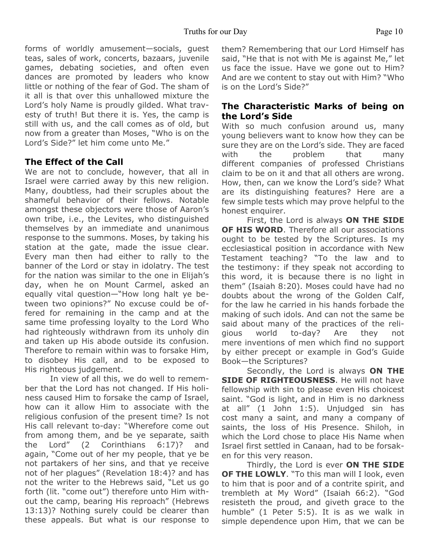forms of worldly amusement—socials, guest teas, sales of work, concerts, bazaars, juvenile games, debating societies, and often even dances are promoted by leaders who know little or nothing of the fear of God. The sham of it all is that over this unhallowed mixture the Lord's holy Name is proudly gilded. What travesty of truth! But there it is. Yes, the camp is still with us, and the call comes as of old, but now from a greater than Moses, "Who is on the Lord's Side?" let him come unto Me."

# **The Effect of the Call**

We are not to conclude, however, that all in Israel were carried away by this new religion. Many, doubtless, had their scruples about the shameful behavior of their fellows. Notable amongst these objectors were those of Aaron's own tribe, i.e., the Levites, who distinguished themselves by an immediate and unanimous response to the summons. Moses, by taking his station at the gate, made the issue clear. Every man then had either to rally to the banner of the Lord or stay in idolatry. The test for the nation was similar to the one in Elijah's day, when he on Mount Carmel, asked an equally vital question—"How long halt ye between two opinions?" No excuse could be offered for remaining in the camp and at the same time professing loyalty to the Lord Who had righteously withdrawn from its unholy din and taken up His abode outside its confusion. Therefore to remain within was to forsake Him, to disobey His call, and to be exposed to His righteous judgement.

In view of all this, we do well to remember that the Lord has not changed. If His holiness caused Him to forsake the camp of Israel, how can it allow Him to associate with the religious confusion of the present time? Is not His call relevant to-day: "Wherefore come out from among them, and be ye separate, saith the Lord" (2 Corinthians 6:17)? and again, "Come out of her my people, that ye be not partakers of her sins, and that ye receive not of her plagues" (Revelation 18:4)? and has not the writer to the Hebrews said, "Let us go forth (lit. "come out") therefore unto Him without the camp, bearing His reproach" (Hebrews 13:13)? Nothing surely could be clearer than these appeals. But what is our response to them? Remembering that our Lord Himself has said, "He that is not with Me is against Me," let us face the issue. Have we gone out to Him? And are we content to stay out with Him? "Who is on the Lord's Side?"

# **The Characteristic Marks of being on the Lord's Side**

With so much confusion around us, many young believers want to know how they can be sure they are on the Lord's side. They are faced with the problem that many different companies of professed Christians claim to be on it and that all others are wrong. How, then, can we know the Lord's side? What are its distinguishing features? Here are a few simple tests which may prove helpful to the honest enquirer.

First, the Lord is always **ON THE SIDE OF HIS WORD**. Therefore all our associations ought to be tested by the Scriptures. Is my ecclesiastical position in accordance with New Testament teaching? "To the law and to the testimony: if they speak not according to this word, it is because there is no light in them" (Isaiah 8:20). Moses could have had no doubts about the wrong of the Golden Calf, for the law he carried in his hands forbade the making of such idols. And can not the same be said about many of the practices of the religious world to-day? Are they not mere inventions of men which find no support by either precept or example in God's Guide Book—the Scriptures?

Secondly, the Lord is always **ON THE SIDE OF RIGHTEOUSNESS**. He will not have fellowship with sin to please even His choicest saint. "God is light, and in Him is no darkness at all" (1 John 1:5). Unjudged sin has cost many a saint, and many a company of saints, the loss of His Presence. Shiloh, in which the Lord chose to place His Name when Israel first settled in Canaan, had to be forsaken for this very reason.

Thirdly, the Lord is ever **ON THE SIDE OF THE LOWLY**. "To this man will I look, even to him that is poor and of a contrite spirit, and trembleth at My Word" (Isaiah 66:2). "God resisteth the proud, and giveth grace to the humble" (1 Peter 5:5). It is as we walk in simple dependence upon Him, that we can be